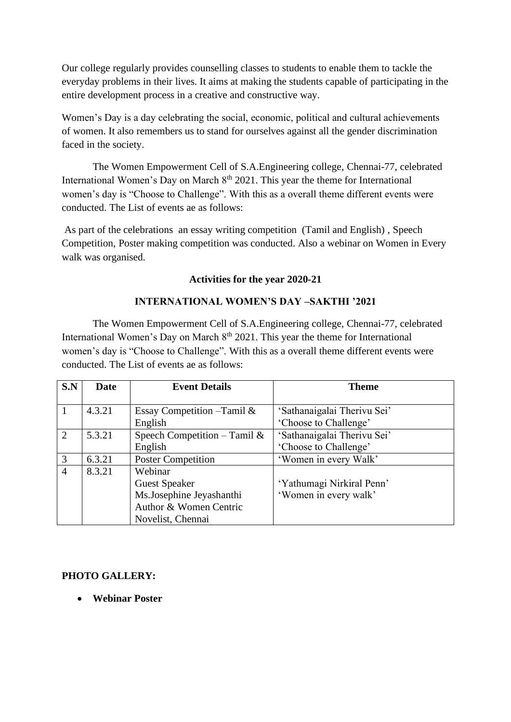Our college regularly provides counselling classes to students to enable them to tackle the everyday problems in their lives. It aims at making the students capable of participating in the entire development process in a creative and constructive way.

Women's Day is a day celebrating the social, economic, political and cultural achievements of women. It also remembers us to stand for ourselves against all the gender discrimination faced in the society.

The Women Empowerment Cell of S.A.Engineering college, Chennai-77, celebrated International Women's Day on March  $8<sup>th</sup>$  2021. This year the theme for International women's day is "Choose to Challenge". With this as a overall theme different events were conducted. The List of events ae as follows:

As part of the celebrations an essay writing competition (Tamil and English) , Speech Competition, Poster making competition was conducted. Also a webinar on Women in Every walk was organised.

#### **Activities for the year 2020-21**

### **INTERNATIONAL WOMEN'S DAY –SAKTHI '2021**

The Women Empowerment Cell of S.A.Engineering college, Chennai-77, celebrated International Women's Day on March  $8<sup>th</sup>$  2021. This year the theme for International women's day is "Choose to Challenge". With this as a overall theme different events were conducted. The List of events ae as follows:

| S.N            | Date   | <b>Event Details</b>          | <b>Theme</b>                |
|----------------|--------|-------------------------------|-----------------------------|
|                |        |                               |                             |
| $\mathbf{1}$   | 4.3.21 | Essay Competition $-Tamil \&$ | 'Sathanaigalai Therivu Sei' |
|                |        | English                       | 'Choose to Challenge'       |
| 2              | 5.3.21 | Speech Competition – Tamil &  | 'Sathanaigalai Therivu Sei' |
|                |        | English                       | 'Choose to Challenge'       |
| 3              | 6.3.21 | <b>Poster Competition</b>     | 'Women in every Walk'       |
| $\overline{4}$ | 8.3.21 | Webinar                       |                             |
|                |        | <b>Guest Speaker</b>          | 'Yathumagi Nirkiral Penn'   |
|                |        | Ms.Josephine Jeyashanthi      | 'Women in every walk'       |
|                |        | Author & Women Centric        |                             |
|                |        | Novelist, Chennai             |                             |

### **PHOTO GALLERY:**

• **Webinar Poster**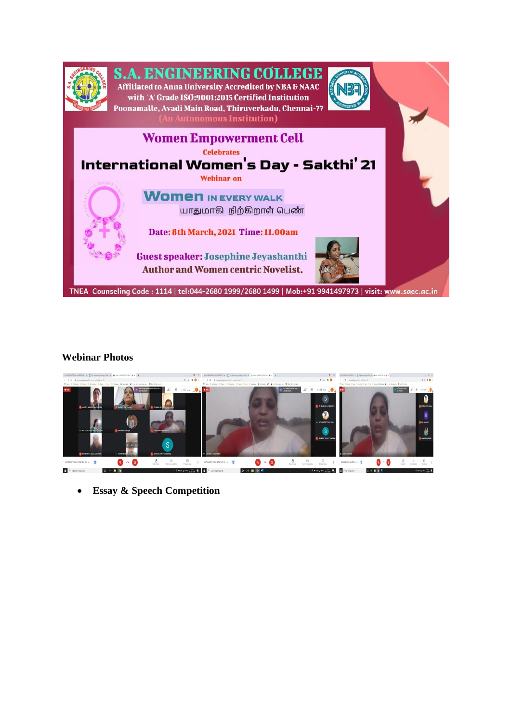

## S.A. ENGINEERING COLLEGE Affiliated to Anna University Accredited by NBA & NAAC

with 'A' Grade ISO:9001:2015 Certified Institution .<br>Poonamalle, Avadi Main Road, Thiruverkadu, Chennai-77 **<u>utonomous Institution)</u>** 





# **Webinar Photos**



• **Essay & Speech Competition**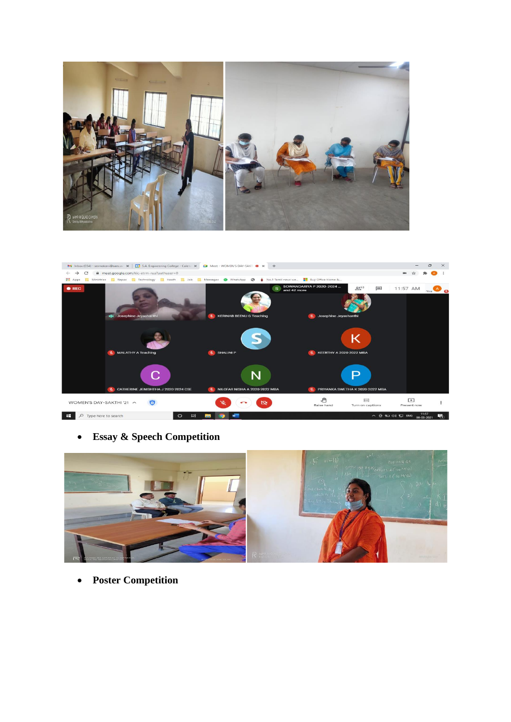



• **Essay & Speech Competition**



• **Poster Competition**